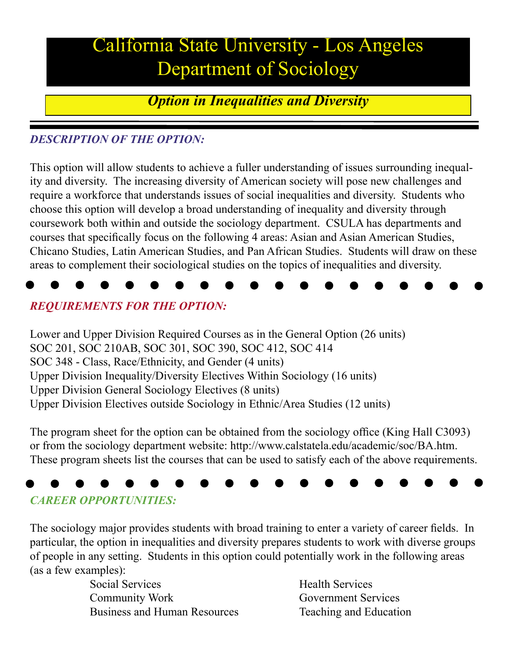## California State University - Los Angeles Department of Sociology

*Option in Inequalities and Diversity*

#### *DESCRIPTION OF THE OPTION:*

This option will allow students to achieve a fuller understanding of issues surrounding inequality and diversity. The increasing diversity of American society will pose new challenges and require a workforce that understands issues of social inequalities and diversity. Students who choose this option will develop a broad understanding of inequality and diversity through coursework both within and outside the sociology department. CSULA has departments and courses that specifically focus on the following 4 areas: Asian and Asian American Studies, Chicano Studies, Latin American Studies, and Pan African Studies. Students will draw on these areas to complement their sociological studies on the topics of inequalities and diversity.



#### *REQUIREMENTS FOR THE OPTION:*

Lower and Upper Division Required Courses as in the General Option (26 units) SOC 201, SOC 210AB, SOC 301, SOC 390, SOC 412, SOC 414 SOC 348 - Class, Race/Ethnicity, and Gender (4 units) Upper Division Inequality/Diversity Electives Within Sociology (16 units) Upper Division General Sociology Electives (8 units) Upper Division Electives outside Sociology in Ethnic/Area Studies (12 units)

The program sheet for the option can be obtained from the sociology office (King Hall C3093) or from the sociology department website: http://www.calstatela.edu/academic/soc/BA.htm. These program sheets list the courses that can be used to satisfy each of the above requirements.

# *CAREER OPPORTUNITIES:*

The sociology major provides students with broad training to enter a variety of career fields. In particular, the option in inequalities and diversity prepares students to work with diverse groups of people in any setting. Students in this option could potentially work in the following areas (as a few examples):

> Social Services Health Services **Community Work Government Services** Business and Human Resources Teaching and Education